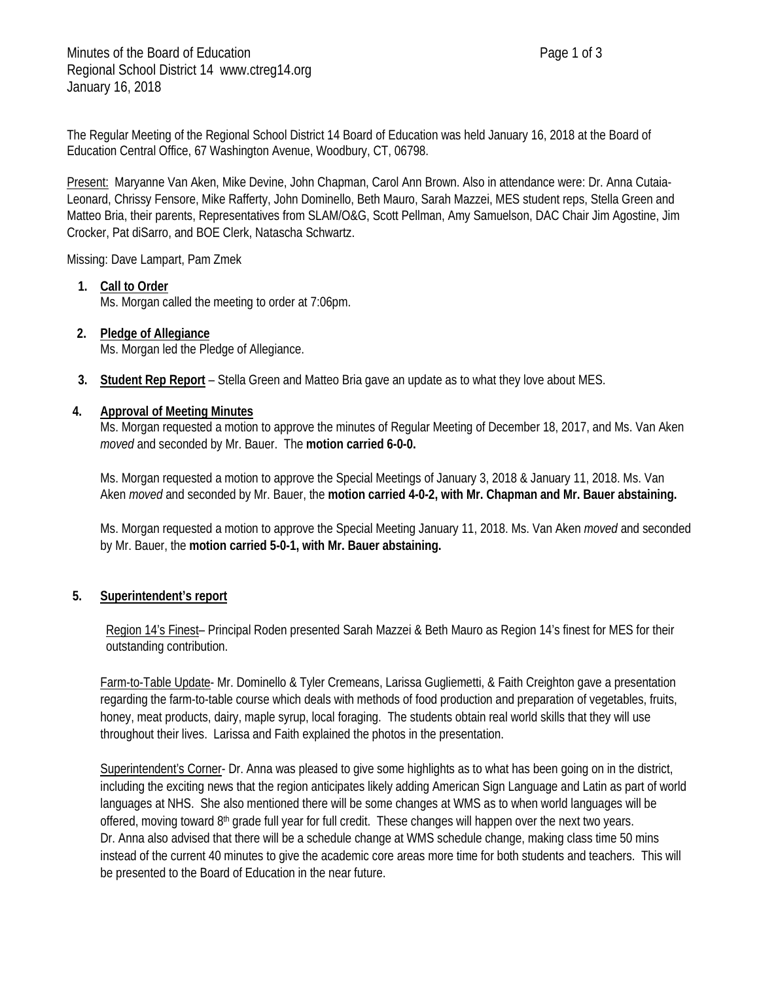The Regular Meeting of the Regional School District 14 Board of Education was held January 16, 2018 at the Board of Education Central Office, 67 Washington Avenue, Woodbury, CT, 06798.

Present: Maryanne Van Aken, Mike Devine, John Chapman, Carol Ann Brown. Also in attendance were: Dr. Anna Cutaia-Leonard, Chrissy Fensore, Mike Rafferty, John Dominello, Beth Mauro, Sarah Mazzei, MES student reps, Stella Green and Matteo Bria, their parents, Representatives from SLAM/O&G, Scott Pellman, Amy Samuelson, DAC Chair Jim Agostine, Jim Crocker, Pat diSarro, and BOE Clerk, Natascha Schwartz.

Missing: Dave Lampart, Pam Zmek

## **1. Call to Order**

Ms. Morgan called the meeting to order at 7:06pm.

# **2. Pledge of Allegiance**

Ms. Morgan led the Pledge of Allegiance.

**3. Student Rep Report** – Stella Green and Matteo Bria gave an update as to what they love about MES.

#### **4. Approval of Meeting Minutes**

Ms. Morgan requested a motion to approve the minutes of Regular Meeting of December 18, 2017, and Ms. Van Aken *moved* and seconded by Mr. Bauer. The **motion carried 6-0-0.**

Ms. Morgan requested a motion to approve the Special Meetings of January 3, 2018 & January 11, 2018. Ms. Van Aken *moved* and seconded by Mr. Bauer, the **motion carried 4-0-2, with Mr. Chapman and Mr. Bauer abstaining.**

Ms. Morgan requested a motion to approve the Special Meeting January 11, 2018. Ms. Van Aken *moved* and seconded by Mr. Bauer, the **motion carried 5-0-1, with Mr. Bauer abstaining.**

## **5. Superintendent's report**

Region 14's Finest– Principal Roden presented Sarah Mazzei & Beth Mauro as Region 14's finest for MES for their outstanding contribution.

Farm-to-Table Update- Mr. Dominello & Tyler Cremeans, Larissa Gugliemetti, & Faith Creighton gave a presentation regarding the farm-to-table course which deals with methods of food production and preparation of vegetables, fruits, honey, meat products, dairy, maple syrup, local foraging. The students obtain real world skills that they will use throughout their lives. Larissa and Faith explained the photos in the presentation.

Superintendent's Corner- Dr. Anna was pleased to give some highlights as to what has been going on in the district, including the exciting news that the region anticipates likely adding American Sign Language and Latin as part of world languages at NHS. She also mentioned there will be some changes at WMS as to when world languages will be offered, moving toward  $8<sup>th</sup>$  grade full year for full credit. These changes will happen over the next two years. Dr. Anna also advised that there will be a schedule change at WMS schedule change, making class time 50 mins instead of the current 40 minutes to give the academic core areas more time for both students and teachers. This will be presented to the Board of Education in the near future.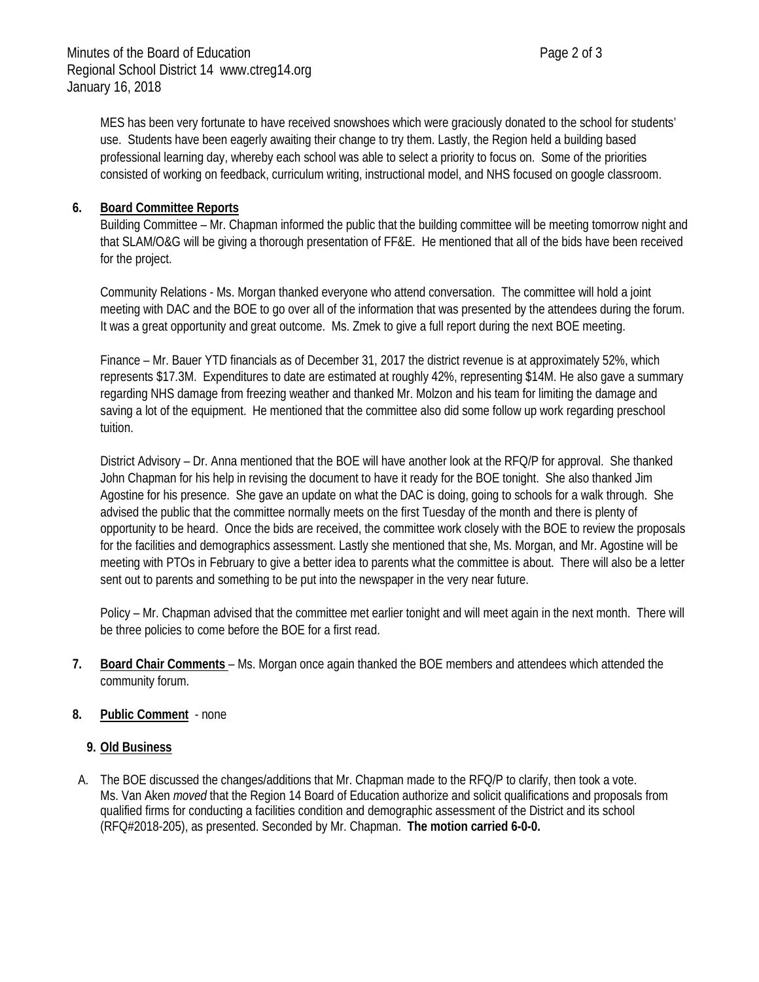MES has been very fortunate to have received snowshoes which were graciously donated to the school for students' use. Students have been eagerly awaiting their change to try them. Lastly, the Region held a building based professional learning day, whereby each school was able to select a priority to focus on. Some of the priorities consisted of working on feedback, curriculum writing, instructional model, and NHS focused on google classroom.

## **6. Board Committee Reports**

Building Committee – Mr. Chapman informed the public that the building committee will be meeting tomorrow night and that SLAM/O&G will be giving a thorough presentation of FF&E. He mentioned that all of the bids have been received for the project.

Community Relations - Ms. Morgan thanked everyone who attend conversation. The committee will hold a joint meeting with DAC and the BOE to go over all of the information that was presented by the attendees during the forum. It was a great opportunity and great outcome. Ms. Zmek to give a full report during the next BOE meeting.

Finance – Mr. Bauer YTD financials as of December 31, 2017 the district revenue is at approximately 52%, which represents \$17.3M. Expenditures to date are estimated at roughly 42%, representing \$14M. He also gave a summary regarding NHS damage from freezing weather and thanked Mr. Molzon and his team for limiting the damage and saving a lot of the equipment. He mentioned that the committee also did some follow up work regarding preschool tuition.

District Advisory – Dr. Anna mentioned that the BOE will have another look at the RFQ/P for approval. She thanked John Chapman for his help in revising the document to have it ready for the BOE tonight. She also thanked Jim Agostine for his presence. She gave an update on what the DAC is doing, going to schools for a walk through. She advised the public that the committee normally meets on the first Tuesday of the month and there is plenty of opportunity to be heard. Once the bids are received, the committee work closely with the BOE to review the proposals for the facilities and demographics assessment. Lastly she mentioned that she, Ms. Morgan, and Mr. Agostine will be meeting with PTOs in February to give a better idea to parents what the committee is about. There will also be a letter sent out to parents and something to be put into the newspaper in the very near future.

Policy – Mr. Chapman advised that the committee met earlier tonight and will meet again in the next month. There will be three policies to come before the BOE for a first read.

- **7. Board Chair Comments**  Ms. Morgan once again thanked the BOE members and attendees which attended the community forum.
- **8. Public Comment** none

## **9. Old Business**

A. The BOE discussed the changes/additions that Mr. Chapman made to the RFQ/P to clarify, then took a vote. Ms. Van Aken *moved* that the Region 14 Board of Education authorize and solicit qualifications and proposals from qualified firms for conducting a facilities condition and demographic assessment of the District and its school (RFQ#2018-205), as presented. Seconded by Mr. Chapman. **The motion carried 6-0-0.**